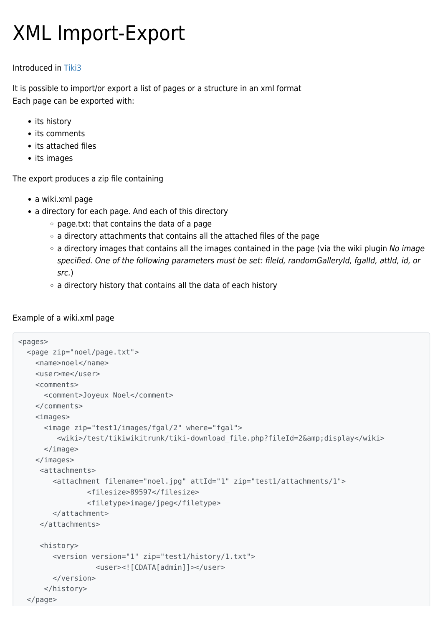# XML Import-Export

### Introduced in [Tiki3](https://doc.tiki.org/Tiki3)

It is possible to import/or export a list of pages or a structure in an xml format Each page can be exported with:

- its history
- its comments
- its attached files
- its images

The export produces a zip file containing

- a wiki.xml page
- a directory for each page. And each of this directory
	- page.txt: that contains the data of a page
	- $\circ$  a directory attachments that contains all the attached files of the page
	- $\circ$  a directory images that contains all the images contained in the page (via the wiki plugin No image specified. One of the following parameters must be set: fileId, randomGalleryId, fgalId, attId, id, or src.)
	- o a directory history that contains all the data of each history

### Example of a wiki.xml page

```
<pages>
   <page zip="noel/page.txt">
     <name>noel</name>
     <user>me</user>
     <comments>
       <comment>Joyeux Noel</comment>
    </comments>
     <images>
       <image zip="test1/images/fgal/2" where="fgal">
         <wiki>/test/tikiwikitrunk/tiki-download_file.php?fileId=2&amp;display</wiki>
       </image>
     </images>
      <attachments>
         <attachment filename="noel.jpg" attId="1" zip="test1/attachments/1">
                 <filesize>89597</filesize>
                 <filetype>image/jpeg</filetype>
         </attachment>
      </attachments>
      <history>
         <version version="1" zip="test1/history/1.txt">
                   <user><![CDATA[admin]]></user>
         </version>
       </history>
   </page>
```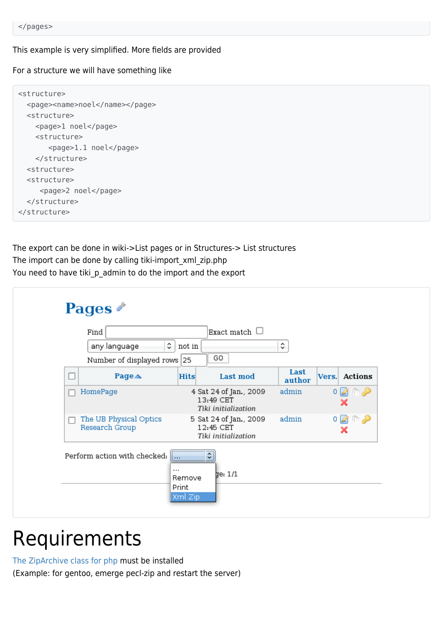#### This example is very simplified. More fields are provided

For a structure we will have something like

```
<structure>
  <page><name>noel</name></page>
  <structure>
    <page>1 noel</page>
     <structure>
        <page>1.1 noel</page>
     </structure>
   <structure>
   <structure>
      <page>2 noel</page>
   </structure>
</structure>
```
The export can be done in wiki->List pages or in Structures-> List structures The import can be done by calling tiki-import\_xml\_zip.php You need to have tiki\_p\_admin to do the import and the export

| Find                                     | Exact match $\Box$                                      |                                                            |                |                |
|------------------------------------------|---------------------------------------------------------|------------------------------------------------------------|----------------|----------------|
| any language                             | ٥<br>not in                                             |                                                            | ¢              |                |
| Number of displayed rows 25              |                                                         | GO                                                         |                |                |
| Page△                                    | <b>Hits</b>                                             | <b>Last mod</b>                                            | Last<br>author | Vers. Actions  |
| HomePage                                 |                                                         | 4 Sat 24 of Jan., 2009<br>13:49 CET<br>Tiki initialization | admin          | $0$ 2 $\cap$ 2 |
| The UB Physical Optics<br>Research Group |                                                         | 5 Sat 24 of Jan., 2009<br>12:45 CET<br>Tiki initialization | admin          | $0$ and        |
| Perform action with checked:             | <br>$1 + 1 +$<br>$\cdots$<br>Remove<br>Print<br>Xml Zip | ∼<br>v<br>ge: 1/1                                          |                |                |

## Requirements

[The ZipArchive class for php](http://php.net/manual/en/class.ziparchive.php) must be installed

(Example: for gentoo, emerge pecl-zip and restart the server)